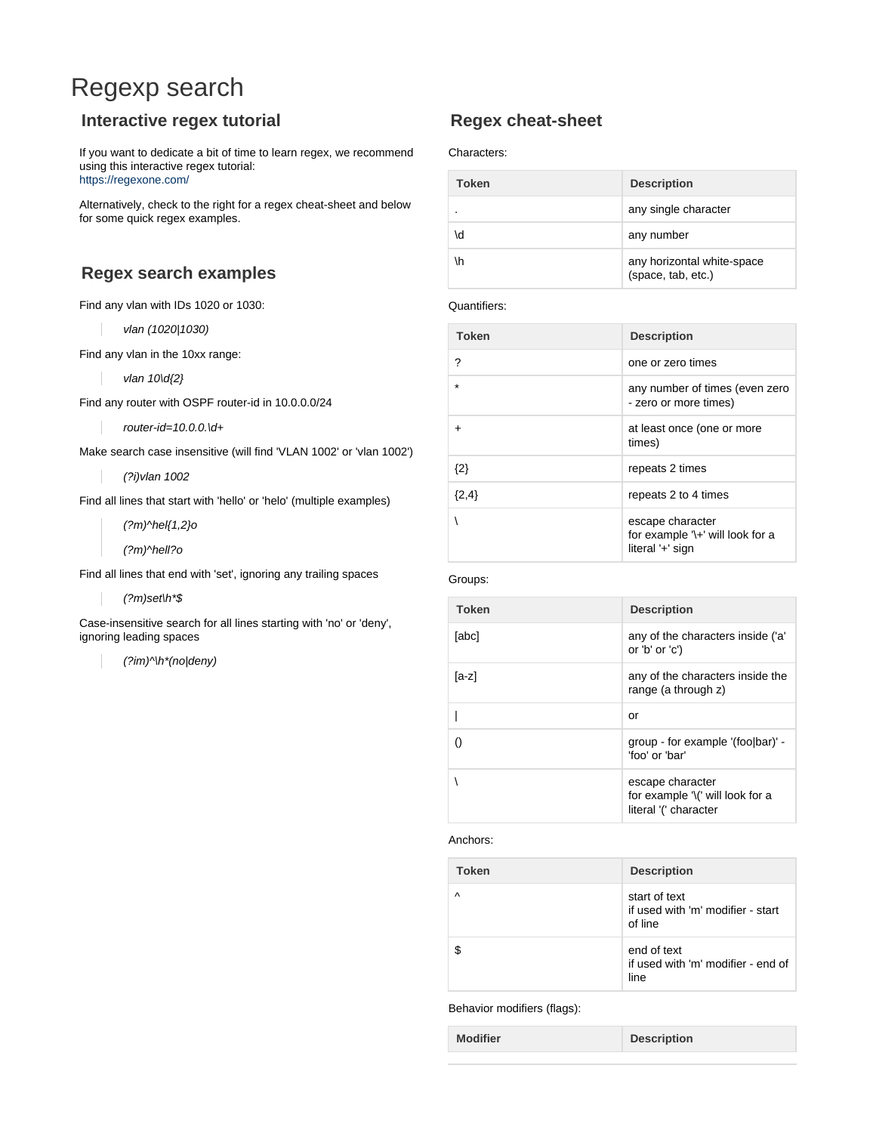# Regexp search

## **Interactive regex tutorial**

If you want to dedicate a bit of time to learn regex, we recommend using this interactive regex tutorial: <https://regexone.com/>

Alternatively, check to the right for a regex cheat-sheet and below for some quick regex examples.

### **Regex search examples**

Find any vlan with IDs 1020 or 1030:

vlan (1020|1030)

Find any vlan in the 10xx range:

vlan 10\d{2}

Find any router with OSPF router-id in 10.0.0.0/24

router-id=10.0.0.\d+

Make search case insensitive (will find 'VLAN 1002' or 'vlan 1002')

(?i)vlan 1002

Find all lines that start with 'hello' or 'helo' (multiple examples)

(?m)^hel{1,2}o

(?m)^hell?o

Find all lines that end with 'set', ignoring any trailing spaces

 $(?m)$ set $\n h^*$ \$

Case-insensitive search for all lines starting with 'no' or 'deny', ignoring leading spaces

(?im)^\h\*(no|deny)

### **Regex cheat-sheet**

```
Characters:
```

| <b>Token</b> | <b>Description</b>                               |
|--------------|--------------------------------------------------|
|              | any single character                             |
| \d           | any number                                       |
| ۱h           | any horizontal white-space<br>(space, tab, etc.) |

#### Quantifiers:

| <b>Token</b> | <b>Description</b>                                                       |
|--------------|--------------------------------------------------------------------------|
| ?            | one or zero times                                                        |
|              | any number of times (even zero<br>- zero or more times)                  |
|              | at least once (one or more<br>times)                                     |
| $\{2\}$      | repeats 2 times                                                          |
| ${2,4}$      | repeats 2 to 4 times                                                     |
|              | escape character<br>for example '\+' will look for a<br>literal '+' sign |

#### Groups:

| <b>Token</b> | <b>Description</b>                                                            |
|--------------|-------------------------------------------------------------------------------|
| [abc]        | any of the characters inside ('a'<br>or 'b' or 'c')                           |
| [a-z]        | any of the characters inside the<br>range (a through z)                       |
|              | or                                                                            |
|              | group - for example '(foolbar)' -<br>'foo' or 'bar'                           |
|              | escape character<br>for example '\(' will look for a<br>literal '(' character |

### Anchors:

| <b>Token</b> | <b>Description</b>                                            |
|--------------|---------------------------------------------------------------|
| $\lambda$    | start of text<br>if used with 'm' modifier - start<br>of line |
| \$           | end of text<br>if used with 'm' modifier - end of<br>line     |

Behavior modifiers (flags):

| <b>Modifier</b> | <b>Description</b> |
|-----------------|--------------------|
|-----------------|--------------------|